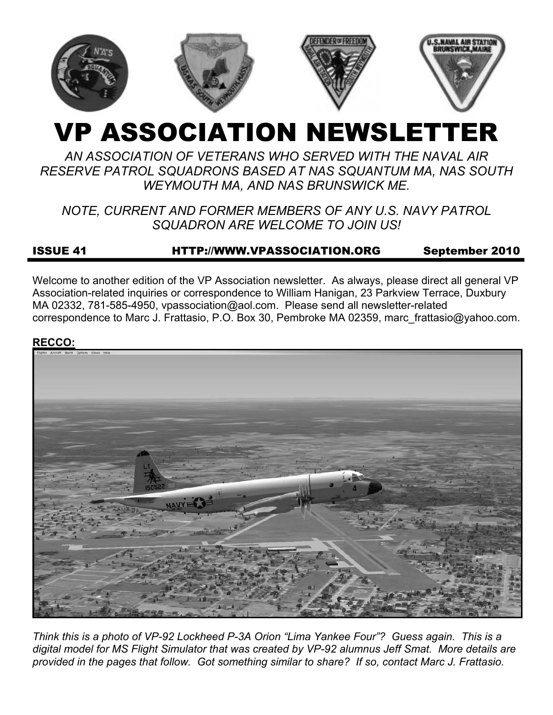

# VP ASSOCIATION NEWSLETTER

# *AN ASSOCIATION OF VETERANS WHO SERVED WITH THE NAVAL AIR RESERVE PATROL SQUADRONS BASED AT NAS SQUANTUM MA, NAS SOUTH WEYMOUTH MA, AND NAS BRUNSWICK ME.*

# *NOTE, CURRENT AND FORMER MEMBERS OF ANY U.S. NAVY PATROL SQUADRON ARE WELCOME TO JOIN US!*

# ISSUE 41 HTTP://WWW.VPASSOCIATION.ORG September 2010

Welcome to another edition of the VP Association newsletter. As always, please direct all general VP Association-related inquiries or correspondence to William Hanigan, 23 Parkview Terrace, Duxbury MA 02332, 781-585-4950, vpassociation@aol.com. Please send all newsletter-related correspondence to Marc J. Frattasio, P.O. Box 30, Pembroke MA 02359, marc\_frattasio@yahoo.com.

#### **RECCO:**



*Think this is a photo of VP-92 Lockheed P-3A Orion "Lima Yankee Four"? Guess again. This is a digital model for MS Flight Simulator that was created by VP-92 alumnus Jeff Smat. More details are provided in the pages that follow. Got something similar to share? If so, contact Marc J. Frattasio.*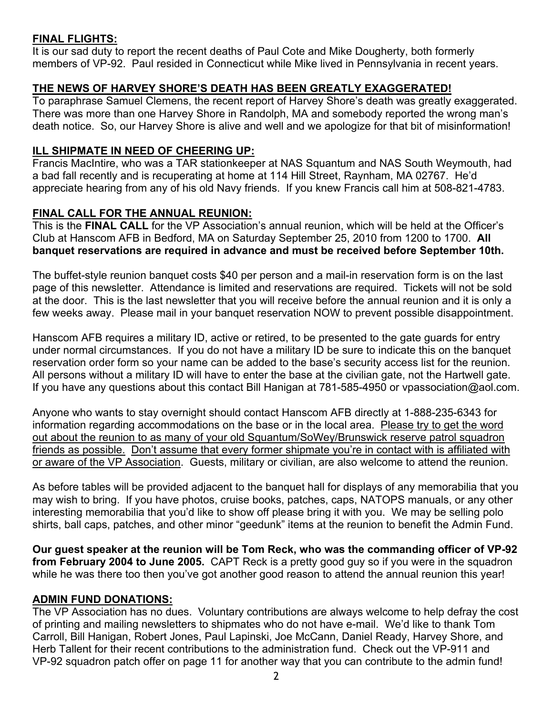## **FINAL FLIGHTS:**

It is our sad duty to report the recent deaths of Paul Cote and Mike Dougherty, both formerly members of VP-92. Paul resided in Connecticut while Mike lived in Pennsylvania in recent years.

## **THE NEWS OF HARVEY SHORE'S DEATH HAS BEEN GREATLY EXAGGERATED!**

To paraphrase Samuel Clemens, the recent report of Harvey Shore's death was greatly exaggerated. There was more than one Harvey Shore in Randolph, MA and somebody reported the wrong man's death notice. So, our Harvey Shore is alive and well and we apologize for that bit of misinformation!

## **ILL SHIPMATE IN NEED OF CHEERING UP:**

Francis MacIntire, who was a TAR stationkeeper at NAS Squantum and NAS South Weymouth, had a bad fall recently and is recuperating at home at 114 Hill Street, Raynham, MA 02767. He'd appreciate hearing from any of his old Navy friends. If you knew Francis call him at 508-821-4783.

## **FINAL CALL FOR THE ANNUAL REUNION:**

This is the **FINAL CALL** for the VP Association's annual reunion, which will be held at the Officer's Club at Hanscom AFB in Bedford, MA on Saturday September 25, 2010 from 1200 to 1700. **All banquet reservations are required in advance and must be received before September 10th.**

The buffet-style reunion banquet costs \$40 per person and a mail-in reservation form is on the last page of this newsletter. Attendance is limited and reservations are required. Tickets will not be sold at the door. This is the last newsletter that you will receive before the annual reunion and it is only a few weeks away. Please mail in your banquet reservation NOW to prevent possible disappointment.

Hanscom AFB requires a military ID, active or retired, to be presented to the gate guards for entry under normal circumstances. If you do not have a military ID be sure to indicate this on the banquet reservation order form so your name can be added to the base's security access list for the reunion. All persons without a military ID will have to enter the base at the civilian gate, not the Hartwell gate. If you have any questions about this contact Bill Hanigan at 781-585-4950 or vpassociation@aol.com.

Anyone who wants to stay overnight should contact Hanscom AFB directly at 1-888-235-6343 for information regarding accommodations on the base or in the local area. Please try to get the word out about the reunion to as many of your old Squantum/SoWey/Brunswick reserve patrol squadron friends as possible. Don't assume that every former shipmate you're in contact with is affiliated with or aware of the VP Association. Guests, military or civilian, are also welcome to attend the reunion.

As before tables will be provided adjacent to the banquet hall for displays of any memorabilia that you may wish to bring. If you have photos, cruise books, patches, caps, NATOPS manuals, or any other interesting memorabilia that you'd like to show off please bring it with you. We may be selling polo shirts, ball caps, patches, and other minor "geedunk" items at the reunion to benefit the Admin Fund.

**Our guest speaker at the reunion will be Tom Reck, who was the commanding officer of VP-92 from February 2004 to June 2005.** CAPT Reck is a pretty good guy so if you were in the squadron while he was there too then you've got another good reason to attend the annual reunion this year!

## **ADMIN FUND DONATIONS:**

The VP Association has no dues. Voluntary contributions are always welcome to help defray the cost of printing and mailing newsletters to shipmates who do not have e-mail. We'd like to thank Tom Carroll, Bill Hanigan, Robert Jones, Paul Lapinski, Joe McCann, Daniel Ready, Harvey Shore, and Herb Tallent for their recent contributions to the administration fund. Check out the VP-911 and VP-92 squadron patch offer on page 11 for another way that you can contribute to the admin fund!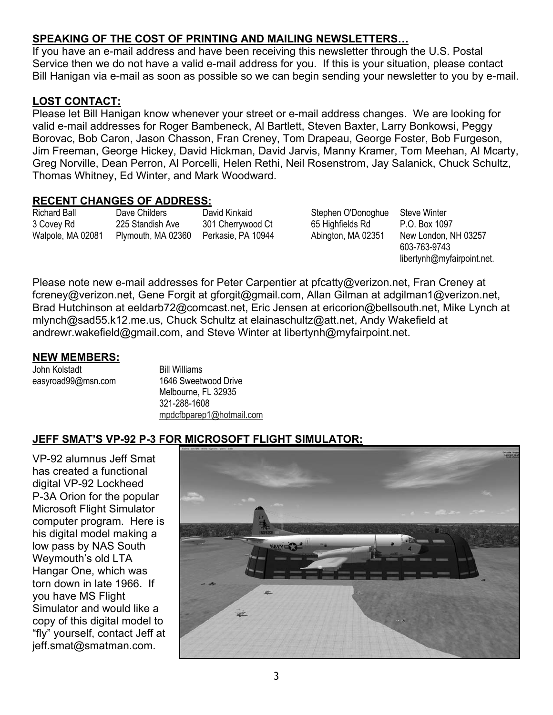## **SPEAKING OF THE COST OF PRINTING AND MAILING NEWSLETTERS…**

If you have an e-mail address and have been receiving this newsletter through the U.S. Postal Service then we do not have a valid e-mail address for you. If this is your situation, please contact Bill Hanigan via e-mail as soon as possible so we can begin sending your newsletter to you by e-mail.

## **LOST CONTACT:**

Please let Bill Hanigan know whenever your street or e-mail address changes. We are looking for valid e-mail addresses for Roger Bambeneck, Al Bartlett, Steven Baxter, Larry Bonkowsi, Peggy Borovac, Bob Caron, Jason Chasson, Fran Creney, Tom Drapeau, George Foster, Bob Furgeson, Jim Freeman, George Hickey, David Hickman, David Jarvis, Manny Kramer, Tom Meehan, Al Mcarty, Greg Norville, Dean Perron, Al Porcelli, Helen Rethi, Neil Rosenstrom, Jay Salanick, Chuck Schultz, Thomas Whitney, Ed Winter, and Mark Woodward.

#### **RECENT CHANGES OF ADDRESS:**

Richard Ball 3 Covey Rd Walpole, MA 02081 Dave Childers 225 Standish Ave Plymouth, MA 02360 David Kinkaid 301 Cherrywood Ct Perkasie, PA 10944 Stephen O'Donoghue 65 Highfields Rd Abington, MA 02351

Steve Winter P.O. Box 1097 New London, NH 03257 603-763-9743 libertynh@myfairpoint.net.

Please note new e-mail addresses for Peter Carpentier at pfcatty@verizon.net, Fran Creney at fcreney@verizon.net, Gene Forgit at gforgit@gmail.com, Allan Gilman at adgilman1@verizon.net, Brad Hutchinson at eeldarb72@comcast.net, Eric Jensen at ericorion@bellsouth.net, Mike Lynch at mlynch@sad55.k12.me.us, Chuck Schultz at elainaschultz@att.net, Andy Wakefield at andrewr.wakefield@gmail.com, and Steve Winter at libertynh@myfairpoint.net.

#### **NEW MEMBERS:**

John Kolstadt easyroad99@msn.com Bill Williams 1646 Sweetwood Drive Melbourne, FL 32935 321-288-1608 mpdcfbparep1@hotmail.com

## **JEFF SMAT'S VP-92 P-3 FOR MICROSOFT FLIGHT SIMULATOR:**

VP-92 alumnus Jeff Smat has created a functional digital VP-92 Lockheed P-3A Orion for the popular Microsoft Flight Simulator computer program. Here is his digital model making a low pass by NAS South Weymouth's old LTA Hangar One, which was torn down in late 1966. If you have MS Flight Simulator and would like a copy of this digital model to "fly" yourself, contact Jeff at jeff.smat@smatman.com.

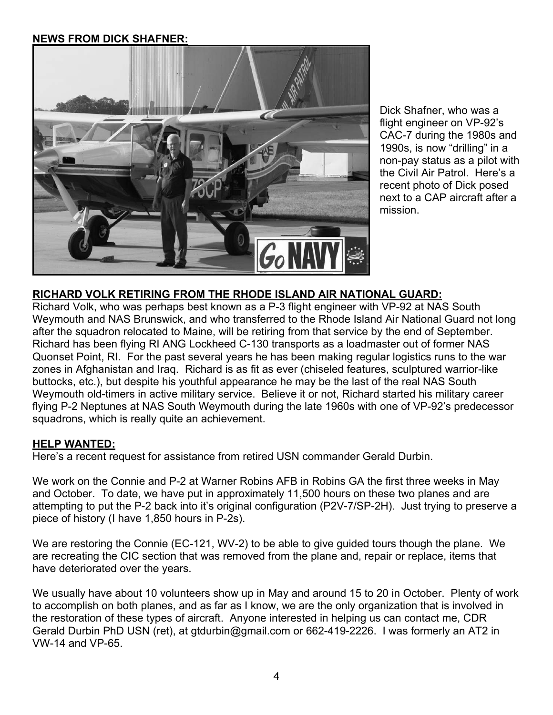## **NEWS FROM DICK SHAFNER:**



Dick Shafner, who was a flight engineer on VP-92's CAC-7 during the 1980s and 1990s, is now "drilling" in a non-pay status as a pilot with the Civil Air Patrol. Here's a recent photo of Dick posed next to a CAP aircraft after a mission.

## **RICHARD VOLK RETIRING FROM THE RHODE ISLAND AIR NATIONAL GUARD:**

Richard Volk, who was perhaps best known as a P-3 flight engineer with VP-92 at NAS South Weymouth and NAS Brunswick, and who transferred to the Rhode Island Air National Guard not long after the squadron relocated to Maine, will be retiring from that service by the end of September. Richard has been flying RI ANG Lockheed C-130 transports as a loadmaster out of former NAS Quonset Point, RI. For the past several years he has been making regular logistics runs to the war zones in Afghanistan and Iraq. Richard is as fit as ever (chiseled features, sculptured warrior-like buttocks, etc.), but despite his youthful appearance he may be the last of the real NAS South Weymouth old-timers in active military service. Believe it or not, Richard started his military career flying P-2 Neptunes at NAS South Weymouth during the late 1960s with one of VP-92's predecessor squadrons, which is really quite an achievement.

#### **HELP WANTED:**

Here's a recent request for assistance from retired USN commander Gerald Durbin.

We work on the Connie and P-2 at Warner Robins AFB in Robins GA the first three weeks in May and October. To date, we have put in approximately 11,500 hours on these two planes and are attempting to put the P-2 back into it's original configuration (P2V-7/SP-2H). Just trying to preserve a piece of history (I have 1,850 hours in P-2s).

We are restoring the Connie (EC-121, WV-2) to be able to give guided tours though the plane. We are recreating the CIC section that was removed from the plane and, repair or replace, items that have deteriorated over the years.

We usually have about 10 volunteers show up in May and around 15 to 20 in October. Plenty of work to accomplish on both planes, and as far as I know, we are the only organization that is involved in the restoration of these types of aircraft. Anyone interested in helping us can contact me, CDR Gerald Durbin PhD USN (ret), at gtdurbin@gmail.com or 662-419-2226. I was formerly an AT2 in VW-14 and VP-65.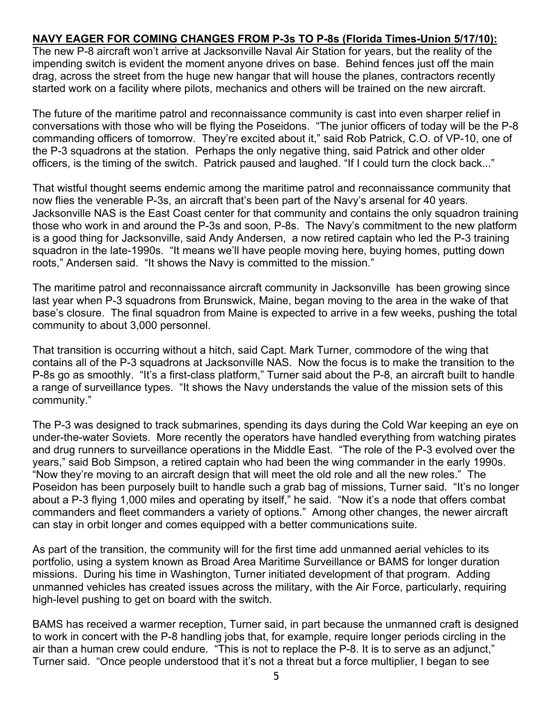## **NAVY EAGER FOR COMING CHANGES FROM P-3s TO P-8s (Florida Times-Union 5/17/10):**

The new P-8 aircraft won't arrive at Jacksonville Naval Air Station for years, but the reality of the impending switch is evident the moment anyone drives on base. Behind fences just off the main drag, across the street from the huge new hangar that will house the planes, contractors recently started work on a facility where pilots, mechanics and others will be trained on the new aircraft.

The future of the maritime patrol and reconnaissance community is cast into even sharper relief in conversations with those who will be flying the Poseidons. "The junior officers of today will be the P-8 commanding officers of tomorrow. They're excited about it," said Rob Patrick, C.O. of VP-10, one of the P-3 squadrons at the station. Perhaps the only negative thing, said Patrick and other older officers, is the timing of the switch. Patrick paused and laughed. "If I could turn the clock back..."

That wistful thought seems endemic among the maritime patrol and reconnaissance community that now flies the venerable P-3s, an aircraft that's been part of the Navy's arsenal for 40 years. Jacksonville NAS is the East Coast center for that community and contains the only squadron training those who work in and around the P-3s and soon, P-8s. The Navy's commitment to the new platform is a good thing for Jacksonville, said Andy Andersen, a now retired captain who led the P-3 training squadron in the late-1990s. "It means we'll have people moving here, buying homes, putting down roots," Andersen said. "It shows the Navy is committed to the mission."

The maritime patrol and reconnaissance aircraft community in Jacksonville has been growing since last year when P-3 squadrons from Brunswick, Maine, began moving to the area in the wake of that base's closure. The final squadron from Maine is expected to arrive in a few weeks, pushing the total community to about 3,000 personnel.

That transition is occurring without a hitch, said Capt. Mark Turner, commodore of the wing that contains all of the P-3 squadrons at Jacksonville NAS. Now the focus is to make the transition to the P-8s go as smoothly. "It's a first-class platform," Turner said about the P-8, an aircraft built to handle a range of surveillance types. "It shows the Navy understands the value of the mission sets of this community."

The P-3 was designed to track submarines, spending its days during the Cold War keeping an eye on under-the-water Soviets. More recently the operators have handled everything from watching pirates and drug runners to surveillance operations in the Middle East. "The role of the P-3 evolved over the years," said Bob Simpson, a retired captain who had been the wing commander in the early 1990s. "Now they're moving to an aircraft design that will meet the old role and all the new roles." The Poseidon has been purposely built to handle such a grab bag of missions, Turner said. "It's no longer about a P-3 flying 1,000 miles and operating by itself," he said. "Now it's a node that offers combat commanders and fleet commanders a variety of options." Among other changes, the newer aircraft can stay in orbit longer and comes equipped with a better communications suite.

As part of the transition, the community will for the first time add unmanned aerial vehicles to its portfolio, using a system known as Broad Area Maritime Surveillance or BAMS for longer duration missions. During his time in Washington, Turner initiated development of that program. Adding unmanned vehicles has created issues across the military, with the Air Force, particularly, requiring high-level pushing to get on board with the switch.

BAMS has received a warmer reception, Turner said, in part because the unmanned craft is designed to work in concert with the P-8 handling jobs that, for example, require longer periods circling in the air than a human crew could endure. "This is not to replace the P-8. It is to serve as an adjunct," Turner said. "Once people understood that it's not a threat but a force multiplier, I began to see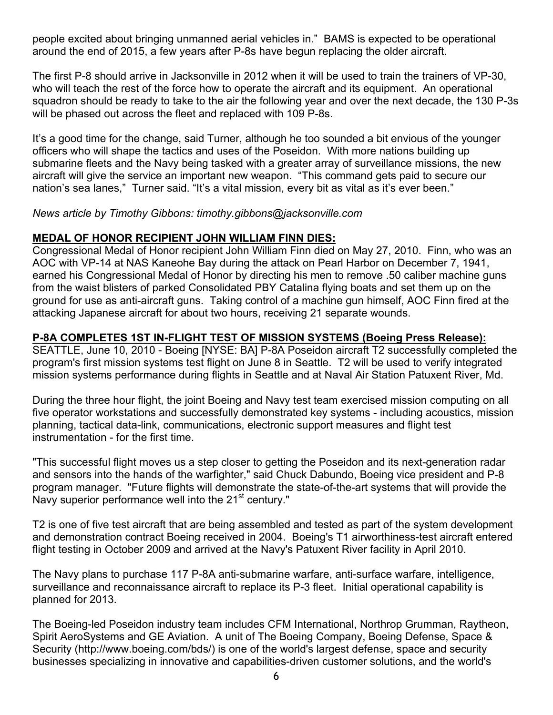people excited about bringing unmanned aerial vehicles in." BAMS is expected to be operational around the end of 2015, a few years after P-8s have begun replacing the older aircraft.

The first P-8 should arrive in Jacksonville in 2012 when it will be used to train the trainers of VP-30, who will teach the rest of the force how to operate the aircraft and its equipment. An operational squadron should be ready to take to the air the following year and over the next decade, the 130 P-3s will be phased out across the fleet and replaced with 109 P-8s.

It's a good time for the change, said Turner, although he too sounded a bit envious of the younger officers who will shape the tactics and uses of the Poseidon. With more nations building up submarine fleets and the Navy being tasked with a greater array of surveillance missions, the new aircraft will give the service an important new weapon. "This command gets paid to secure our nation's sea lanes," Turner said. "It's a vital mission, every bit as vital as it's ever been."

*News article by Timothy Gibbons: timothy.gibbons@jacksonville.com* 

## **MEDAL OF HONOR RECIPIENT JOHN WILLIAM FINN DIES:**

Congressional Medal of Honor recipient John William Finn died on May 27, 2010. Finn, who was an AOC with VP-14 at NAS Kaneohe Bay during the attack on Pearl Harbor on December 7, 1941, earned his Congressional Medal of Honor by directing his men to remove .50 caliber machine guns from the waist blisters of parked Consolidated PBY Catalina flying boats and set them up on the ground for use as anti-aircraft guns. Taking control of a machine gun himself, AOC Finn fired at the attacking Japanese aircraft for about two hours, receiving 21 separate wounds.

## **P-8A COMPLETES 1ST IN-FLIGHT TEST OF MISSION SYSTEMS (Boeing Press Release):**

SEATTLE, June 10, 2010 - Boeing [NYSE: BA] P-8A Poseidon aircraft T2 successfully completed the program's first mission systems test flight on June 8 in Seattle. T2 will be used to verify integrated mission systems performance during flights in Seattle and at Naval Air Station Patuxent River, Md.

During the three hour flight, the joint Boeing and Navy test team exercised mission computing on all five operator workstations and successfully demonstrated key systems - including acoustics, mission planning, tactical data-link, communications, electronic support measures and flight test instrumentation - for the first time.

"This successful flight moves us a step closer to getting the Poseidon and its next-generation radar and sensors into the hands of the warfighter," said Chuck Dabundo, Boeing vice president and P-8 program manager. "Future flights will demonstrate the state-of-the-art systems that will provide the Navy superior performance well into the 21<sup>st</sup> century."

T2 is one of five test aircraft that are being assembled and tested as part of the system development and demonstration contract Boeing received in 2004. Boeing's T1 airworthiness-test aircraft entered flight testing in October 2009 and arrived at the Navy's Patuxent River facility in April 2010.

The Navy plans to purchase 117 P-8A anti-submarine warfare, anti-surface warfare, intelligence, surveillance and reconnaissance aircraft to replace its P-3 fleet. Initial operational capability is planned for 2013.

The Boeing-led Poseidon industry team includes CFM International, Northrop Grumman, Raytheon, Spirit AeroSystems and GE Aviation. A unit of The Boeing Company, Boeing Defense, Space & Security (http://www.boeing.com/bds/) is one of the world's largest defense, space and security businesses specializing in innovative and capabilities-driven customer solutions, and the world's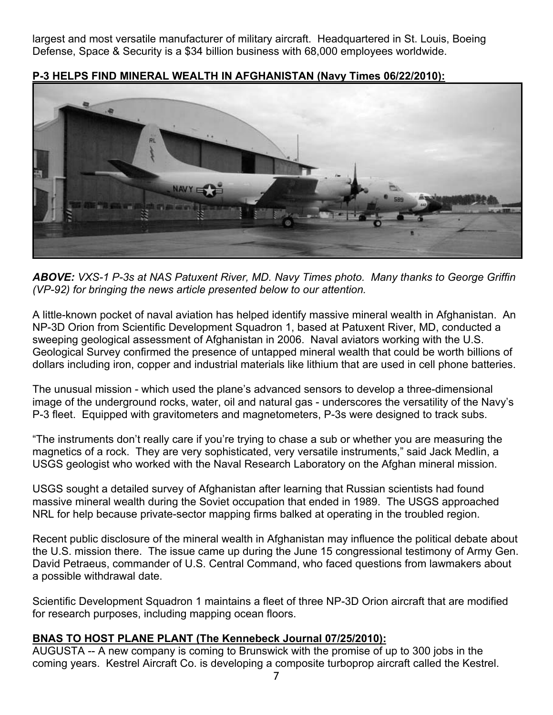largest and most versatile manufacturer of military aircraft. Headquartered in St. Louis, Boeing Defense, Space & Security is a \$34 billion business with 68,000 employees worldwide.



**P-3 HELPS FIND MINERAL WEALTH IN AFGHANISTAN (Navy Times 06/22/2010):**

*ABOVE: VXS-1 P-3s at NAS Patuxent River, MD. Navy Times photo. Many thanks to George Griffin (VP-92) for bringing the news article presented below to our attention.*

A little-known pocket of naval aviation has helped identify massive mineral wealth in Afghanistan. An NP-3D Orion from Scientific Development Squadron 1, based at Patuxent River, MD, conducted a sweeping geological assessment of Afghanistan in 2006. Naval aviators working with the U.S. Geological Survey confirmed the presence of untapped mineral wealth that could be worth billions of dollars including iron, copper and industrial materials like lithium that are used in cell phone batteries.

The unusual mission - which used the plane's advanced sensors to develop a three-dimensional image of the underground rocks, water, oil and natural gas - underscores the versatility of the Navy's P-3 fleet. Equipped with gravitometers and magnetometers, P-3s were designed to track subs.

"The instruments don't really care if you're trying to chase a sub or whether you are measuring the magnetics of a rock. They are very sophisticated, very versatile instruments," said Jack Medlin, a USGS geologist who worked with the Naval Research Laboratory on the Afghan mineral mission.

USGS sought a detailed survey of Afghanistan after learning that Russian scientists had found massive mineral wealth during the Soviet occupation that ended in 1989. The USGS approached NRL for help because private-sector mapping firms balked at operating in the troubled region.

Recent public disclosure of the mineral wealth in Afghanistan may influence the political debate about the U.S. mission there. The issue came up during the June 15 congressional testimony of Army Gen. David Petraeus, commander of U.S. Central Command, who faced questions from lawmakers about a possible withdrawal date.

Scientific Development Squadron 1 maintains a fleet of three NP-3D Orion aircraft that are modified for research purposes, including mapping ocean floors.

## **BNAS TO HOST PLANE PLANT (The Kennebeck Journal 07/25/2010):**

AUGUSTA -- A new company is coming to Brunswick with the promise of up to 300 jobs in the coming years. Kestrel Aircraft Co. is developing a composite turboprop aircraft called the Kestrel.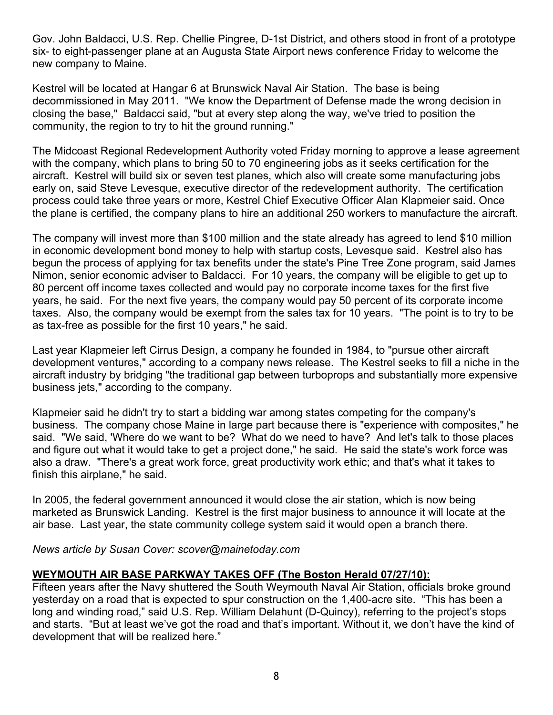Gov. John Baldacci, U.S. Rep. Chellie Pingree, D-1st District, and others stood in front of a prototype six- to eight-passenger plane at an Augusta State Airport news conference Friday to welcome the new company to Maine.

Kestrel will be located at Hangar 6 at Brunswick Naval Air Station. The base is being decommissioned in May 2011. "We know the Department of Defense made the wrong decision in closing the base," Baldacci said, "but at every step along the way, we've tried to position the community, the region to try to hit the ground running."

The Midcoast Regional Redevelopment Authority voted Friday morning to approve a lease agreement with the company, which plans to bring 50 to 70 engineering jobs as it seeks certification for the aircraft. Kestrel will build six or seven test planes, which also will create some manufacturing jobs early on, said Steve Levesque, executive director of the redevelopment authority. The certification process could take three years or more, Kestrel Chief Executive Officer Alan Klapmeier said. Once the plane is certified, the company plans to hire an additional 250 workers to manufacture the aircraft.

The company will invest more than \$100 million and the state already has agreed to lend \$10 million in economic development bond money to help with startup costs, Levesque said. Kestrel also has begun the process of applying for tax benefits under the state's Pine Tree Zone program, said James Nimon, senior economic adviser to Baldacci. For 10 years, the company will be eligible to get up to 80 percent off income taxes collected and would pay no corporate income taxes for the first five years, he said. For the next five years, the company would pay 50 percent of its corporate income taxes. Also, the company would be exempt from the sales tax for 10 years. "The point is to try to be as tax-free as possible for the first 10 years," he said.

Last year Klapmeier left Cirrus Design, a company he founded in 1984, to "pursue other aircraft development ventures," according to a company news release. The Kestrel seeks to fill a niche in the aircraft industry by bridging "the traditional gap between turboprops and substantially more expensive business jets," according to the company.

Klapmeier said he didn't try to start a bidding war among states competing for the company's business. The company chose Maine in large part because there is "experience with composites," he said. "We said, 'Where do we want to be? What do we need to have? And let's talk to those places and figure out what it would take to get a project done," he said. He said the state's work force was also a draw. "There's a great work force, great productivity work ethic; and that's what it takes to finish this airplane," he said.

In 2005, the federal government announced it would close the air station, which is now being marketed as Brunswick Landing. Kestrel is the first major business to announce it will locate at the air base. Last year, the state community college system said it would open a branch there.

*News article by Susan Cover: scover@mainetoday.com* 

## **WEYMOUTH AIR BASE PARKWAY TAKES OFF (The Boston Herald 07/27/10):**

Fifteen years after the Navy shuttered the South Weymouth Naval Air Station, officials broke ground yesterday on a road that is expected to spur construction on the 1,400-acre site. "This has been a long and winding road," said U.S. Rep. William Delahunt (D-Quincy), referring to the project's stops and starts. "But at least we've got the road and that's important. Without it, we don't have the kind of development that will be realized here."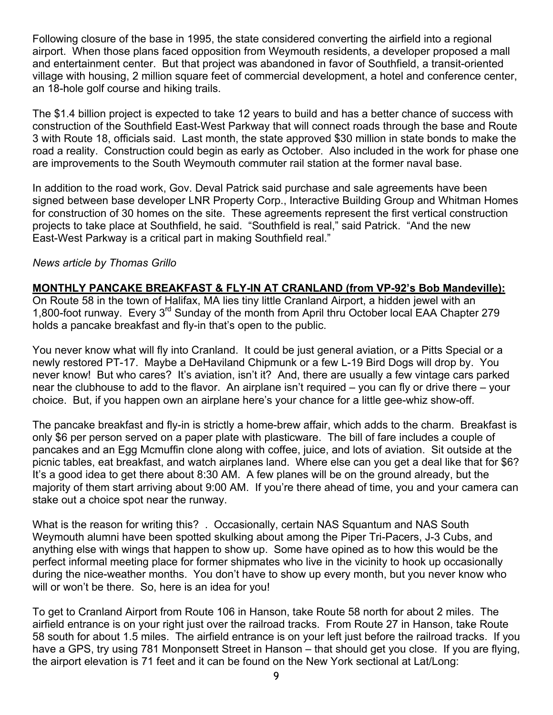Following closure of the base in 1995, the state considered converting the airfield into a regional airport. When those plans faced opposition from Weymouth residents, a developer proposed a mall and entertainment center. But that project was abandoned in favor of Southfield, a transit-oriented village with housing, 2 million square feet of commercial development, a hotel and conference center, an 18-hole golf course and hiking trails.

The \$1.4 billion project is expected to take 12 years to build and has a better chance of success with construction of the Southfield East-West Parkway that will connect roads through the base and Route 3 with Route 18, officials said. Last month, the state approved \$30 million in state bonds to make the road a reality. Construction could begin as early as October. Also included in the work for phase one are improvements to the South Weymouth commuter rail station at the former naval base.

In addition to the road work, Gov. Deval Patrick said purchase and sale agreements have been signed between base developer LNR Property Corp., Interactive Building Group and Whitman Homes for construction of 30 homes on the site. These agreements represent the first vertical construction projects to take place at Southfield, he said. "Southfield is real," said Patrick. "And the new East-West Parkway is a critical part in making Southfield real."

#### *News article by Thomas Grillo*

#### **MONTHLY PANCAKE BREAKFAST & FLY-IN AT CRANLAND (from VP-92's Bob Mandeville):**

On Route 58 in the town of Halifax, MA lies tiny little Cranland Airport, a hidden jewel with an 1,800-foot runway. Every 3rd Sunday of the month from April thru October local EAA Chapter 279 holds a pancake breakfast and fly-in that's open to the public.

You never know what will fly into Cranland. It could be just general aviation, or a Pitts Special or a newly restored PT-17. Maybe a DeHaviland Chipmunk or a few L-19 Bird Dogs will drop by. You never know! But who cares? It's aviation, isn't it? And, there are usually a few vintage cars parked near the clubhouse to add to the flavor. An airplane isn't required – you can fly or drive there – your choice. But, if you happen own an airplane here's your chance for a little gee-whiz show-off.

The pancake breakfast and fly-in is strictly a home-brew affair, which adds to the charm. Breakfast is only \$6 per person served on a paper plate with plasticware. The bill of fare includes a couple of pancakes and an Egg Mcmuffin clone along with coffee, juice, and lots of aviation. Sit outside at the picnic tables, eat breakfast, and watch airplanes land. Where else can you get a deal like that for \$6? It's a good idea to get there about 8:30 AM. A few planes will be on the ground already, but the majority of them start arriving about 9:00 AM. If you're there ahead of time, you and your camera can stake out a choice spot near the runway.

What is the reason for writing this? . Occasionally, certain NAS Squantum and NAS South Weymouth alumni have been spotted skulking about among the Piper Tri-Pacers, J-3 Cubs, and anything else with wings that happen to show up. Some have opined as to how this would be the perfect informal meeting place for former shipmates who live in the vicinity to hook up occasionally during the nice-weather months. You don't have to show up every month, but you never know who will or won't be there. So, here is an idea for you!

To get to Cranland Airport from Route 106 in Hanson, take Route 58 north for about 2 miles. The airfield entrance is on your right just over the railroad tracks. From Route 27 in Hanson, take Route 58 south for about 1.5 miles. The airfield entrance is on your left just before the railroad tracks. If you have a GPS, try using 781 Monponsett Street in Hanson – that should get you close. If you are flying, the airport elevation is 71 feet and it can be found on the New York sectional at Lat/Long: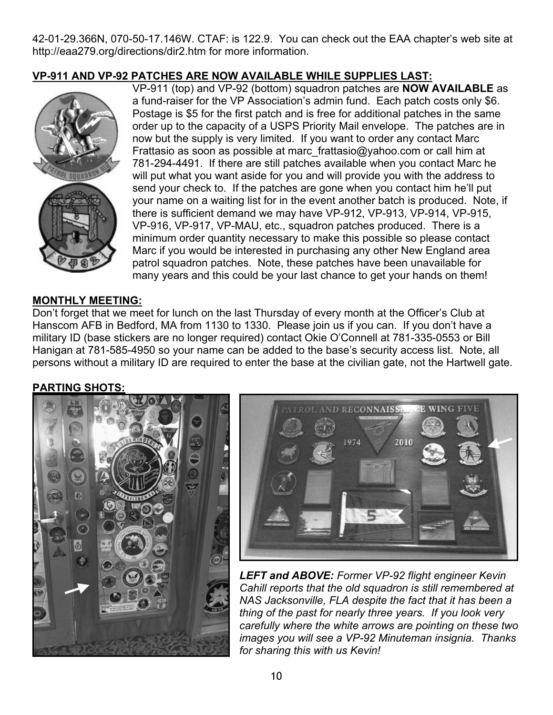42-01-29.366N, 070-50-17.146W. CTAF: is 122.9. You can check out the EAA chapter's web site at http://eaa279.org/directions/dir2.htm for more information.

## **VP-911 AND VP-92 PATCHES ARE NOW AVAILABLE WHILE SUPPLIES LAST:**



VP-911 (top) and VP-92 (bottom) squadron patches are **NOW AVAILABLE** as a fund-raiser for the VP Association's admin fund. Each patch costs only \$6. Postage is \$5 for the first patch and is free for additional patches in the same order up to the capacity of a USPS Priority Mail envelope. The patches are in now but the supply is very limited. If you want to order any contact Marc Frattasio as soon as possible at marc\_frattasio@yahoo.com or call him at 781-294-4491. If there are still patches available when you contact Marc he will put what you want aside for you and will provide you with the address to send your check to. If the patches are gone when you contact him he'll put your name on a waiting list for in the event another batch is produced. Note, if there is sufficient demand we may have VP-912, VP-913, VP-914, VP-915, VP-916, VP-917, VP-MAU, etc., squadron patches produced. There is a minimum order quantity necessary to make this possible so please contact Marc if you would be interested in purchasing any other New England area patrol squadron patches. Note, these patches have been unavailable for many years and this could be your last chance to get your hands on them!

## **MONTHLY MEETING:**

Don't forget that we meet for lunch on the last Thursday of every month at the Officer's Club at Hanscom AFB in Bedford, MA from 1130 to 1330. Please join us if you can. If you don't have a military ID (base stickers are no longer required) contact Okie O'Connell at 781-335-0553 or Bill Hanigan at 781-585-4950 so your name can be added to the base's security access list. Note, all persons without a military ID are required to enter the base at the civilian gate, not the Hartwell gate.

#### **PARTING SHOTS:**





*LEFT and ABOVE: Former VP-92 flight engineer Kevin Cahill reports that the old squadron is still remembered at NAS Jacksonville, FLA despite the fact that it has been a thing of the past for nearly three years. If you look very carefully where the white arrows are pointing on these two images you will see a VP-92 Minuteman insignia. Thanks for sharing this with us Kevin!*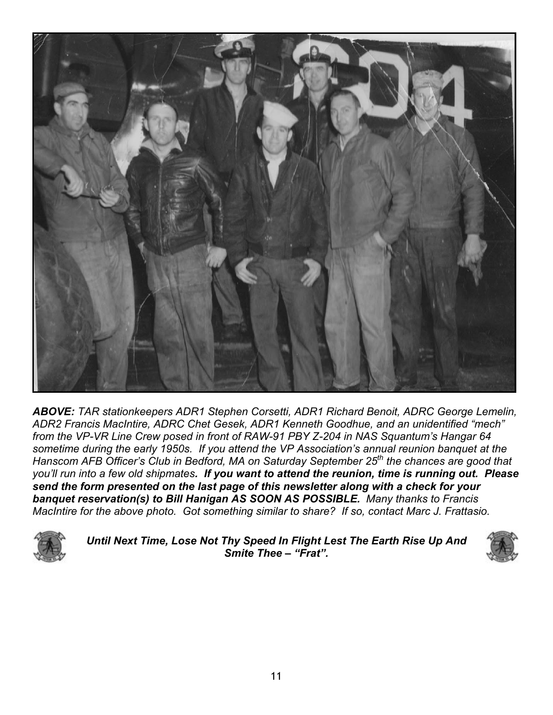

*ABOVE: TAR stationkeepers ADR1 Stephen Corsetti, ADR1 Richard Benoit, ADRC George Lemelin, ADR2 Francis MacIntire, ADRC Chet Gesek, ADR1 Kenneth Goodhue, and an unidentified "mech" from the VP-VR Line Crew posed in front of RAW-91 PBY Z-204 in NAS Squantum's Hangar 64 sometime during the early 1950s. If you attend the VP Association's annual reunion banquet at the Hanscom AFB Officer's Club in Bedford, MA on Saturday September 25th the chances are good that you'll run into a few old shipmates. If you want to attend the reunion, time is running out. Please send the form presented on the last page of this newsletter along with a check for your banquet reservation(s) to Bill Hanigan AS SOON AS POSSIBLE. Many thanks to Francis MacIntire for the above photo. Got something similar to share? If so, contact Marc J. Frattasio.* 



*Until Next Time, Lose Not Thy Speed In Flight Lest The Earth Rise Up And Smite Thee – "Frat".*